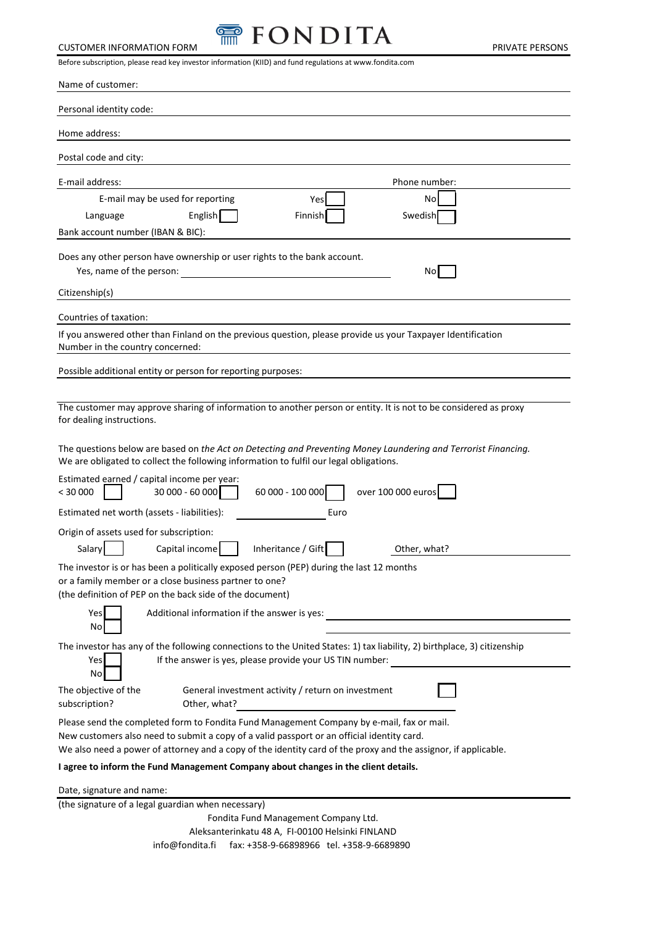

| Before subscription, please read key investor information (KIID) and fund regulations at www.fondita.com                                                                                                                                                                                                  |
|-----------------------------------------------------------------------------------------------------------------------------------------------------------------------------------------------------------------------------------------------------------------------------------------------------------|
| Name of customer:                                                                                                                                                                                                                                                                                         |
| Personal identity code:                                                                                                                                                                                                                                                                                   |
| Home address:                                                                                                                                                                                                                                                                                             |
| Postal code and city:                                                                                                                                                                                                                                                                                     |
| E-mail address:<br>Phone number:                                                                                                                                                                                                                                                                          |
| E-mail may be used for reporting<br>No<br>Yes<br>English<br>Swedish<br>Finnish<br>Language<br>Bank account number (IBAN & BIC):                                                                                                                                                                           |
| Does any other person have ownership or user rights to the bank account.<br>Yes, name of the person:<br>No                                                                                                                                                                                                |
| Citizenship(s)                                                                                                                                                                                                                                                                                            |
| Countries of taxation:                                                                                                                                                                                                                                                                                    |
| If you answered other than Finland on the previous question, please provide us your Taxpayer Identification<br>Number in the country concerned:                                                                                                                                                           |
| Possible additional entity or person for reporting purposes:                                                                                                                                                                                                                                              |
| The customer may approve sharing of information to another person or entity. It is not to be considered as proxy<br>for dealing instructions.                                                                                                                                                             |
| The questions below are based on the Act on Detecting and Preventing Money Laundering and Terrorist Financing.<br>We are obligated to collect the following information to fulfil our legal obligations.                                                                                                  |
| Estimated earned / capital income per year:<br>30 000 - 60 000<br>60 000 - 100 000<br>over 100 000 euros<br>< 30000                                                                                                                                                                                       |
| Estimated net worth (assets - liabilities):<br>Euro                                                                                                                                                                                                                                                       |
| Origin of assets used for subscription:<br>Salary  <br>Capital income<br>Inheritance / Gift<br>Other, what?                                                                                                                                                                                               |
| The investor is or has been a politically exposed person (PEP) during the last 12 months<br>or a family member or a close business partner to one?<br>(the definition of PEP on the back side of the document)                                                                                            |
| Yes<br>Additional information if the answer is yes:<br>No                                                                                                                                                                                                                                                 |
| The investor has any of the following connections to the United States: 1) tax liability, 2) birthplace, 3) citizenship<br>If the answer is yes, please provide your US TIN number:<br>Yes<br>No                                                                                                          |
| General investment activity / return on investment<br>The objective of the<br>Other, what?<br>subscription?                                                                                                                                                                                               |
| Please send the completed form to Fondita Fund Management Company by e-mail, fax or mail.<br>New customers also need to submit a copy of a valid passport or an official identity card.<br>We also need a power of attorney and a copy of the identity card of the proxy and the assignor, if applicable. |
| I agree to inform the Fund Management Company about changes in the client details.                                                                                                                                                                                                                        |
| Date, signature and name:<br>(the signature of a legal guardian when necessary)                                                                                                                                                                                                                           |

 Fondita Fund Management Company Ltd. Aleksanterinkatu 48 A, FI-00100 Helsinki FINLAND  [info@fondita.fi fax: +358-9-66898966](mailto:info@fondita.fi%20%20%20%20%20%20faksi:%2009-%206689%208966%20%20%20puh.%2009-%206689%20890) tel. +358-9-6689890